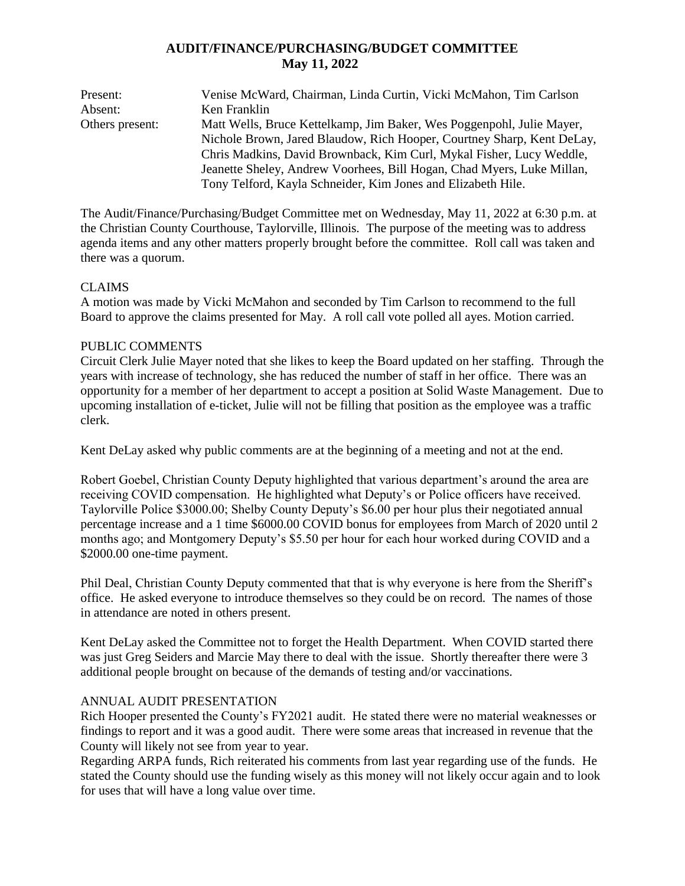# **AUDIT/FINANCE/PURCHASING/BUDGET COMMITTEE May 11, 2022**

Present: Venise McWard, Chairman, Linda Curtin, Vicki McMahon, Tim Carlson Absent: Ken Franklin Others present: Matt Wells, Bruce Kettelkamp, Jim Baker, Wes Poggenpohl, Julie Mayer, Nichole Brown, Jared Blaudow, Rich Hooper, Courtney Sharp, Kent DeLay, Chris Madkins, David Brownback, Kim Curl, Mykal Fisher, Lucy Weddle, Jeanette Sheley, Andrew Voorhees, Bill Hogan, Chad Myers, Luke Millan, Tony Telford, Kayla Schneider, Kim Jones and Elizabeth Hile.

The Audit/Finance/Purchasing/Budget Committee met on Wednesday, May 11, 2022 at 6:30 p.m. at the Christian County Courthouse, Taylorville, Illinois. The purpose of the meeting was to address agenda items and any other matters properly brought before the committee. Roll call was taken and there was a quorum.

## CLAIMS

A motion was made by Vicki McMahon and seconded by Tim Carlson to recommend to the full Board to approve the claims presented for May. A roll call vote polled all ayes. Motion carried.

## PUBLIC COMMENTS

Circuit Clerk Julie Mayer noted that she likes to keep the Board updated on her staffing. Through the years with increase of technology, she has reduced the number of staff in her office. There was an opportunity for a member of her department to accept a position at Solid Waste Management. Due to upcoming installation of e-ticket, Julie will not be filling that position as the employee was a traffic clerk.

Kent DeLay asked why public comments are at the beginning of a meeting and not at the end.

Robert Goebel, Christian County Deputy highlighted that various department's around the area are receiving COVID compensation. He highlighted what Deputy's or Police officers have received. Taylorville Police \$3000.00; Shelby County Deputy's \$6.00 per hour plus their negotiated annual percentage increase and a 1 time \$6000.00 COVID bonus for employees from March of 2020 until 2 months ago; and Montgomery Deputy's \$5.50 per hour for each hour worked during COVID and a \$2000.00 one-time payment.

Phil Deal, Christian County Deputy commented that that is why everyone is here from the Sheriff's office. He asked everyone to introduce themselves so they could be on record. The names of those in attendance are noted in others present.

Kent DeLay asked the Committee not to forget the Health Department. When COVID started there was just Greg Seiders and Marcie May there to deal with the issue. Shortly thereafter there were 3 additional people brought on because of the demands of testing and/or vaccinations.

## ANNUAL AUDIT PRESENTATION

Rich Hooper presented the County's FY2021 audit. He stated there were no material weaknesses or findings to report and it was a good audit. There were some areas that increased in revenue that the County will likely not see from year to year.

Regarding ARPA funds, Rich reiterated his comments from last year regarding use of the funds. He stated the County should use the funding wisely as this money will not likely occur again and to look for uses that will have a long value over time.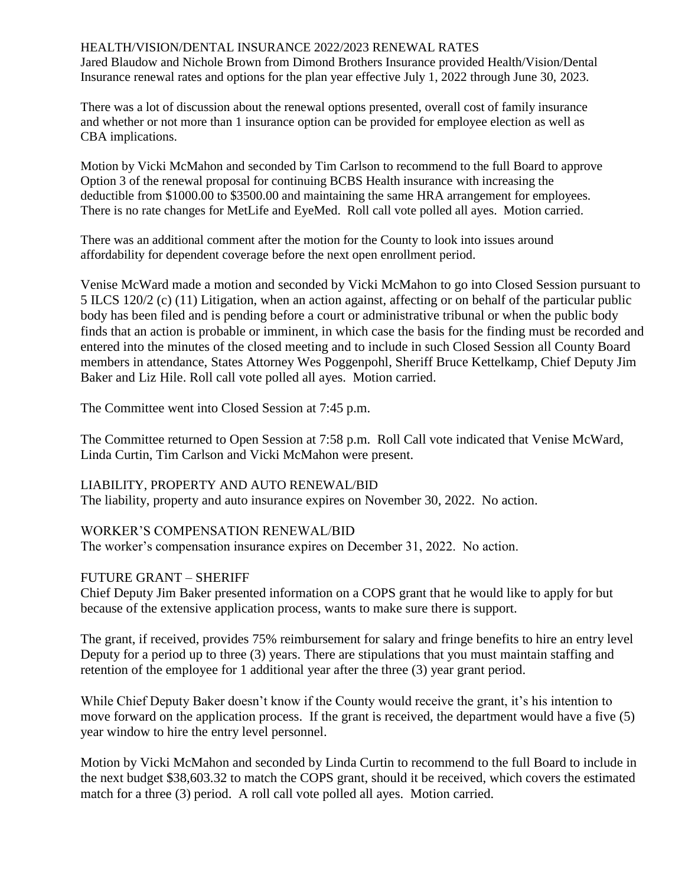### HEALTH/VISION/DENTAL INSURANCE 2022/2023 RENEWAL RATES

Jared Blaudow and Nichole Brown from Dimond Brothers Insurance provided Health/Vision/Dental Insurance renewal rates and options for the plan year effective July 1, 2022 through June 30, 2023.

There was a lot of discussion about the renewal options presented, overall cost of family insurance and whether or not more than 1 insurance option can be provided for employee election as well as CBA implications.

Motion by Vicki McMahon and seconded by Tim Carlson to recommend to the full Board to approve Option 3 of the renewal proposal for continuing BCBS Health insurance with increasing the deductible from \$1000.00 to \$3500.00 and maintaining the same HRA arrangement for employees. There is no rate changes for MetLife and EyeMed. Roll call vote polled all ayes. Motion carried.

There was an additional comment after the motion for the County to look into issues around affordability for dependent coverage before the next open enrollment period.

Venise McWard made a motion and seconded by Vicki McMahon to go into Closed Session pursuant to 5 ILCS 120/2 (c) (11) Litigation, when an action against, affecting or on behalf of the particular public body has been filed and is pending before a court or administrative tribunal or when the public body finds that an action is probable or imminent, in which case the basis for the finding must be recorded and entered into the minutes of the closed meeting and to include in such Closed Session all County Board members in attendance, States Attorney Wes Poggenpohl, Sheriff Bruce Kettelkamp, Chief Deputy Jim Baker and Liz Hile. Roll call vote polled all ayes. Motion carried.

The Committee went into Closed Session at 7:45 p.m.

The Committee returned to Open Session at 7:58 p.m. Roll Call vote indicated that Venise McWard, Linda Curtin, Tim Carlson and Vicki McMahon were present.

## LIABILITY, PROPERTY AND AUTO RENEWAL/BID

The liability, property and auto insurance expires on November 30, 2022. No action.

## WORKER'S COMPENSATION RENEWAL/BID

The worker's compensation insurance expires on December 31, 2022. No action.

### FUTURE GRANT – SHERIFF

Chief Deputy Jim Baker presented information on a COPS grant that he would like to apply for but because of the extensive application process, wants to make sure there is support.

The grant, if received, provides 75% reimbursement for salary and fringe benefits to hire an entry level Deputy for a period up to three (3) years. There are stipulations that you must maintain staffing and retention of the employee for 1 additional year after the three (3) year grant period.

While Chief Deputy Baker doesn't know if the County would receive the grant, it's his intention to move forward on the application process. If the grant is received, the department would have a five (5) year window to hire the entry level personnel.

Motion by Vicki McMahon and seconded by Linda Curtin to recommend to the full Board to include in the next budget \$38,603.32 to match the COPS grant, should it be received, which covers the estimated match for a three (3) period. A roll call vote polled all ayes. Motion carried.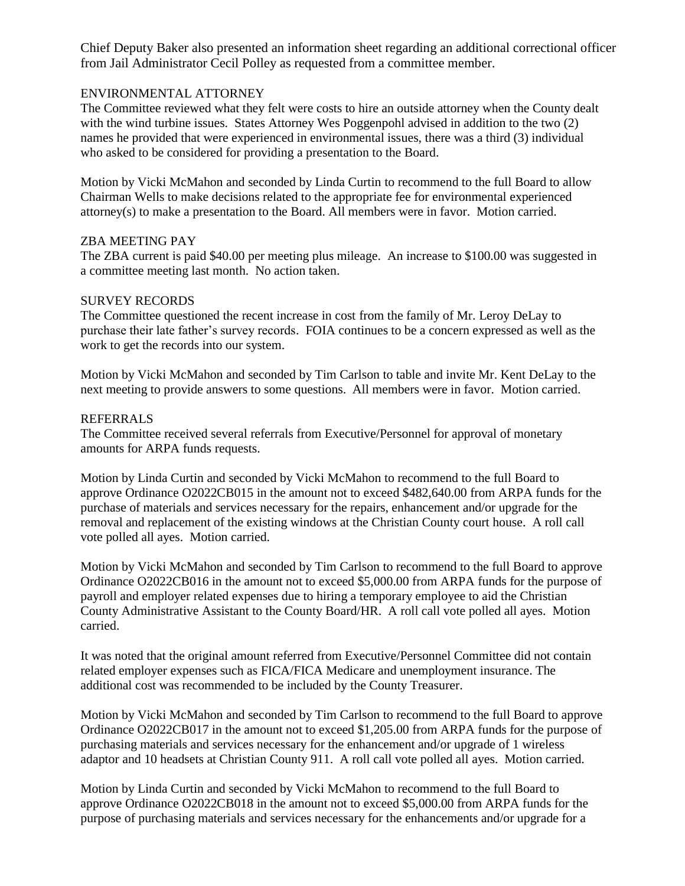Chief Deputy Baker also presented an information sheet regarding an additional correctional officer from Jail Administrator Cecil Polley as requested from a committee member.

## ENVIRONMENTAL ATTORNEY

The Committee reviewed what they felt were costs to hire an outside attorney when the County dealt with the wind turbine issues. States Attorney Wes Poggenpohl advised in addition to the two (2) names he provided that were experienced in environmental issues, there was a third (3) individual who asked to be considered for providing a presentation to the Board.

Motion by Vicki McMahon and seconded by Linda Curtin to recommend to the full Board to allow Chairman Wells to make decisions related to the appropriate fee for environmental experienced attorney(s) to make a presentation to the Board. All members were in favor. Motion carried.

### ZBA MEETING PAY

The ZBA current is paid \$40.00 per meeting plus mileage. An increase to \$100.00 was suggested in a committee meeting last month. No action taken.

### SURVEY RECORDS

The Committee questioned the recent increase in cost from the family of Mr. Leroy DeLay to purchase their late father's survey records. FOIA continues to be a concern expressed as well as the work to get the records into our system.

Motion by Vicki McMahon and seconded by Tim Carlson to table and invite Mr. Kent DeLay to the next meeting to provide answers to some questions. All members were in favor. Motion carried.

### REFERRALS

The Committee received several referrals from Executive/Personnel for approval of monetary amounts for ARPA funds requests.

Motion by Linda Curtin and seconded by Vicki McMahon to recommend to the full Board to approve Ordinance O2022CB015 in the amount not to exceed \$482,640.00 from ARPA funds for the purchase of materials and services necessary for the repairs, enhancement and/or upgrade for the removal and replacement of the existing windows at the Christian County court house. A roll call vote polled all ayes. Motion carried.

Motion by Vicki McMahon and seconded by Tim Carlson to recommend to the full Board to approve Ordinance O2022CB016 in the amount not to exceed \$5,000.00 from ARPA funds for the purpose of payroll and employer related expenses due to hiring a temporary employee to aid the Christian County Administrative Assistant to the County Board/HR. A roll call vote polled all ayes. Motion carried.

It was noted that the original amount referred from Executive/Personnel Committee did not contain related employer expenses such as FICA/FICA Medicare and unemployment insurance. The additional cost was recommended to be included by the County Treasurer.

Motion by Vicki McMahon and seconded by Tim Carlson to recommend to the full Board to approve Ordinance O2022CB017 in the amount not to exceed \$1,205.00 from ARPA funds for the purpose of purchasing materials and services necessary for the enhancement and/or upgrade of 1 wireless adaptor and 10 headsets at Christian County 911. A roll call vote polled all ayes. Motion carried.

Motion by Linda Curtin and seconded by Vicki McMahon to recommend to the full Board to approve Ordinance O2022CB018 in the amount not to exceed \$5,000.00 from ARPA funds for the purpose of purchasing materials and services necessary for the enhancements and/or upgrade for a